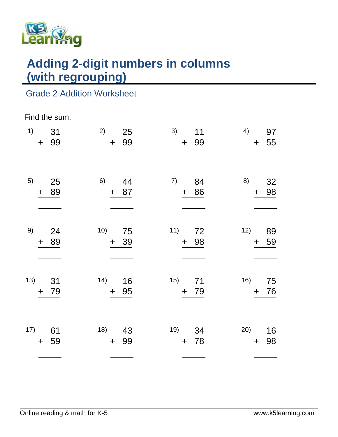

# **Adding 2-digit numbers in columns (with regrouping)**

## Grade 2 Addition Worksheet

#### Find the sum.

| 1)  | 31<br>99<br>$\ddagger$ | 2)<br>25<br>99<br>$\ddagger$ | 3)<br>11<br>99<br>$\pm$      | 4)<br>97<br>55<br>$+$      |
|-----|------------------------|------------------------------|------------------------------|----------------------------|
| 5)  | 25<br>89<br>$\ddot{}$  | 6)<br>44<br>87<br>$\ddot{}$  | 7)<br>84<br>86<br>$\pm$      | 8)<br>32<br>98<br>$\div$   |
| 9)  | 24<br>89<br>$\ddag$    | 10)<br>75<br>39<br>$+$       | 11)<br>72<br>98<br>$+$       | 12)<br>89<br>59<br>$\pm$   |
| 13) | 31<br>79<br>$\ddag$    | 14)<br>16<br>95<br>$+$       | 15)<br>71<br>79<br>$+$       | 16)<br>75<br>76<br>$+$     |
| 17) | 61<br>59<br>$\ddag$    | 18)<br>43<br>99<br>$+$       | 19)<br>34<br>78<br>$\ddot{}$ | 20)<br>16<br>98<br>$\ddag$ |